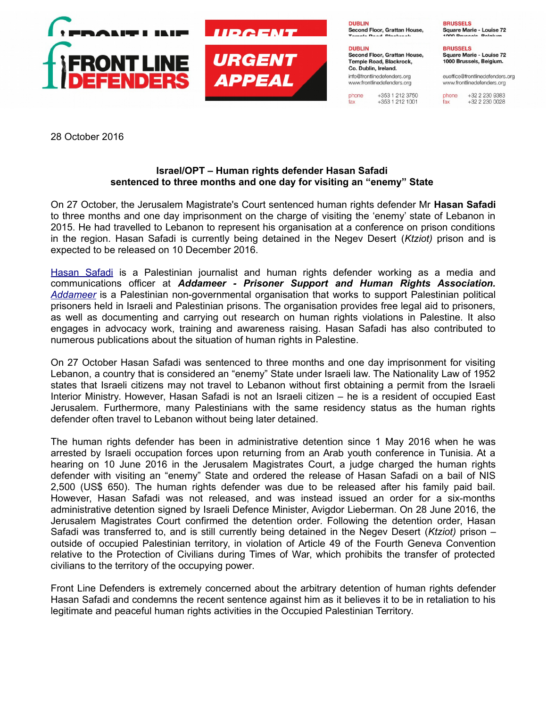

28 October 2016

## **Israel/OPT – Human rights defender Hasan Safadi sentenced to three months and one day for visiting an "enemy" State**

On 27 October, the Jerusalem Magistrate's Court sentenced human rights defender Mr **Hasan Safadi** to three months and one day imprisonment on the charge of visiting the 'enemy' state of Lebanon in 2015. He had travelled to Lebanon to represent his organisation at a conference on prison conditions in the region. Hasan Safadi is currently being detained in the Negev Desert (*Ktziot)* prison and is expected to be released on 10 December 2016.

[Hasan Safadi](https://www.frontlinedefenders.org/en/profile/hasan-safadi) is a Palestinian journalist and human rights defender working as a media and communications officer at *Addameer - Prisoner Support and Human Rights Association. [Addameer](http://www.addameer.org/)* is a Palestinian non-governmental organisation that works to support Palestinian political prisoners held in Israeli and Palestinian prisons. The organisation provides free legal aid to prisoners, as well as documenting and carrying out research on human rights violations in Palestine. It also engages in advocacy work, training and awareness raising. Hasan Safadi has also contributed to numerous publications about the situation of human rights in Palestine.

On 27 October Hasan Safadi was sentenced to three months and one day imprisonment for visiting Lebanon, a country that is considered an "enemy" State under Israeli law. The Nationality Law of 1952 states that Israeli citizens may not travel to Lebanon without first obtaining a permit from the Israeli Interior Ministry. However, Hasan Safadi is not an Israeli citizen – he is a resident of occupied East Jerusalem. Furthermore, many Palestinians with the same residency status as the human rights defender often travel to Lebanon without being later detained.

The human rights defender has been in administrative detention since 1 May 2016 when he was arrested by Israeli occupation forces upon returning from an Arab youth conference in Tunisia. At a hearing on 10 June 2016 in the Jerusalem Magistrates Court, a judge charged the human rights defender with visiting an "enemy" State and ordered the release of Hasan Safadi on a bail of NIS 2,500 (US\$ 650). The human rights defender was due to be released after his family paid bail. However, Hasan Safadi was not released, and was instead issued an order for a six-months administrative detention signed by Israeli Defence Minister, Avigdor Lieberman. On 28 June 2016, the Jerusalem Magistrates Court confirmed the detention order. Following the detention order, Hasan Safadi was transferred to, and is still currently being detained in the Negev Desert (*Ktziot)* prison – outside of occupied Palestinian territory, in violation of Article 49 of the Fourth Geneva Convention relative to the Protection of Civilians during Times of War, which prohibits the transfer of protected civilians to the territory of the occupying power.

Front Line Defenders is extremely concerned about the arbitrary detention of human rights defender Hasan Safadi and condemns the recent sentence against him as it believes it to be in retaliation to his legitimate and peaceful human rights activities in the Occupied Palestinian Territory.